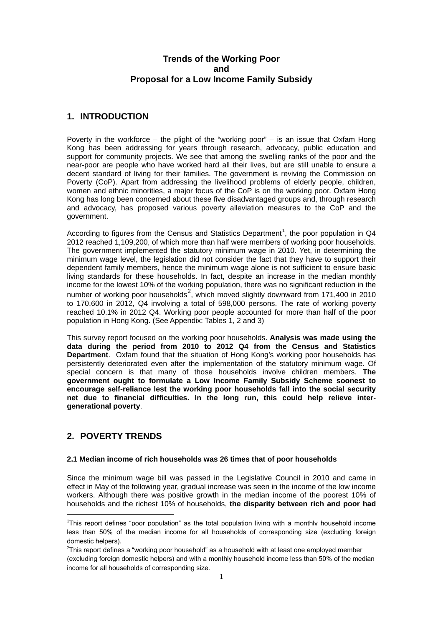# **Trends of the Working Poor and Proposal for a Low Income Family Subsidy**

# **1. INTRODUCTION**

Poverty in the workforce – the plight of the "working poor" – is an issue that Oxfam Hong Kong has been addressing for years through research, advocacy, public education and support for community projects. We see that among the swelling ranks of the poor and the near-poor are people who have worked hard all their lives, but are still unable to ensure a decent standard of living for their families. The government is reviving the Commission on Poverty (CoP). Apart from addressing the livelihood problems of elderly people, children, women and ethnic minorities, a major focus of the CoP is on the working poor. Oxfam Hong Kong has long been concerned about these five disadvantaged groups and, through research and advocacy, has proposed various poverty alleviation measures to the CoP and the government.

According to figures from the Census and Statistics Department<sup>[1](#page-0-0)</sup>, the poor population in Q4 2012 reached 1,109,200, of which more than half were members of working poor households. The government implemented the statutory minimum wage in 2010. Yet, in determining the minimum wage level, the legislation did not consider the fact that they have to support their dependent family members, hence the minimum wage alone is not sufficient to ensure basic living standards for these households. In fact, despite an increase in the median monthly income for the lowest 10% of the working population, there was no significant reduction in the number of working poor households<sup>[2](#page-0-1)</sup>, which moved slightly downward from 171,400 in 2010 to 170,600 in 2012, Q4 involving a total of 598,000 persons. The rate of working poverty reached 10.1% in 2012 Q4. Working poor people accounted for more than half of the poor population in Hong Kong. (See Appendix: Tables 1, 2 and 3)

This survey report focused on the working poor households. **Analysis was made using the data during the period from 2010 to 2012 Q4 from the Census and Statistics Department**. Oxfam found that the situation of Hong Kong's working poor households has persistently deteriorated even after the implementation of the statutory minimum wage. Of special concern is that many of those households involve children members. **The government ought to formulate a Low Income Family Subsidy Scheme soonest to encourage self-reliance lest the working poor households fall into the social security net due to financial difficulties. In the long run, this could help relieve intergenerational poverty**.

# **2. POVERTY TRENDS**

## **2.1 Median income of rich households was 26 times that of poor households**

Since the minimum wage bill was passed in the Legislative Council in 2010 and came in effect in May of the following year, gradual increase was seen in the income of the low income workers. Although there was positive growth in the median income of the poorest 10% of households and the richest 10% of households, **the disparity between rich and poor had** 

<span id="page-0-0"></span> $\frac{1}{1}$ <sup>1</sup>This report defines "poor population" as the total population living with a monthly household income less than 50% of the median income for all households of corresponding size (excluding foreign domestic helpers).

<span id="page-0-1"></span> $2$ This report defines a "working poor household" as a household with at least one emploved member (excluding foreign domestic helpers) and with a monthly household income less than 50% of the median income for all households of corresponding size.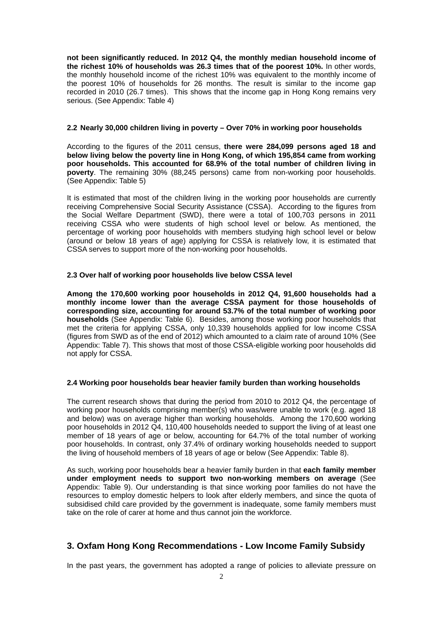**not been significantly reduced. In 2012 Q4, the monthly median household income of the richest 10% of households was 26.3 times that of the poorest 10%.** In other words, the monthly household income of the richest 10% was equivalent to the monthly income of the poorest 10% of households for 26 months. The result is similar to the income gap recorded in 2010 (26.7 times). This shows that the income gap in Hong Kong remains very serious. (See Appendix: Table 4)

## **2.2 Nearly 30,000 children living in poverty – Over 70% in working poor households**

According to the figures of the 2011 census, **there were 284,099 persons aged 18 and below living below the poverty line in Hong Kong, of which 195,854 came from working poor households. This accounted for 68.9% of the total number of children living in poverty**. The remaining 30% (88,245 persons) came from non-working poor households. (See Appendix: Table 5)

It is estimated that most of the children living in the working poor households are currently receiving Comprehensive Social Security Assistance (CSSA). According to the figures from the Social Welfare Department (SWD), there were a total of 100,703 persons in 2011 receiving CSSA who were students of high school level or below. As mentioned, the percentage of working poor households with members studying high school level or below (around or below 18 years of age) applying for CSSA is relatively low, it is estimated that CSSA serves to support more of the non-working poor households.

## **2.3 Over half of working poor households live below CSSA level**

**Among the 170,600 working poor households in 2012 Q4, 91,600 households had a monthly income lower than the average CSSA payment for those households of corresponding size, accounting for around 53.7% of the total number of working poor households** (See Appendix: Table 6). Besides, among those working poor households that met the criteria for applying CSSA, only 10,339 households applied for low income CSSA (figures from SWD as of the end of 2012) which amounted to a claim rate of around 10% (See Appendix: Table 7). This shows that most of those CSSA-eligible working poor households did not apply for CSSA.

## **2.4 Working poor households bear heavier family burden than working households**

The current research shows that during the period from 2010 to 2012 Q4, the percentage of working poor households comprising member(s) who was/were unable to work (e.g. aged 18 and below) was on average higher than working households. Among the 170,600 working poor households in 2012 Q4, 110,400 households needed to support the living of at least one member of 18 years of age or below, accounting for 64.7% of the total number of working poor households. In contrast, only 37.4% of ordinary working households needed to support the living of household members of 18 years of age or below (See Appendix: Table 8).

As such, working poor households bear a heavier family burden in that **each family member under employment needs to support two non-working members on average** (See Appendix: Table 9). Our understanding is that since working poor families do not have the resources to employ domestic helpers to look after elderly members, and since the quota of subsidised child care provided by the government is inadequate, some family members must take on the role of carer at home and thus cannot join the workforce.

## **3. Oxfam Hong Kong Recommendations - Low Income Family Subsidy**

In the past years, the government has adopted a range of policies to alleviate pressure on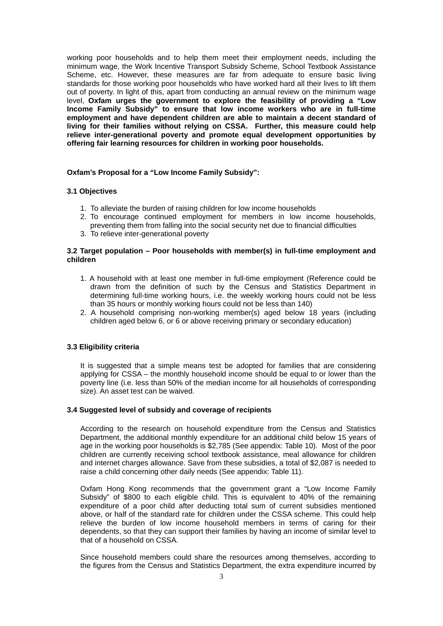working poor households and to help them meet their employment needs, including the minimum wage, the Work Incentive Transport Subsidy Scheme, School Textbook Assistance Scheme, etc. However, these measures are far from adequate to ensure basic living standards for those working poor households who have worked hard all their lives to lift them out of poverty. In light of this, apart from conducting an annual review on the minimum wage level, **Oxfam urges the government to explore the feasibility of providing a "Low Income Family Subsidy" to ensure that low income workers who are in full-time employment and have dependent children are able to maintain a decent standard of living for their families without relying on CSSA. Further, this measure could help relieve inter-generational poverty and promote equal development opportunities by offering fair learning resources for children in working poor households.**

#### **Oxfam's Proposal for a "Low Income Family Subsidy":**

#### **3.1 Objectives**

- 1. To alleviate the burden of raising children for low income households
- 2. To encourage continued employment for members in low income households,
	- preventing them from falling into the social security net due to financial difficulties
- 3. To relieve inter-generational poverty

#### **3.2 Target population – Poor households with member(s) in full-time employment and children**

- 1. A household with at least one member in full-time employment (Reference could be drawn from the definition of such by the Census and Statistics Department in determining full-time working hours, i.e. the weekly working hours could not be less than 35 hours or monthly working hours could not be less than 140)
- 2. A household comprising non-working member(s) aged below 18 years (including children aged below 6, or 6 or above receiving primary or secondary education)

## **3.3 Eligibility criteria**

It is suggested that a simple means test be adopted for families that are considering applying for CSSA – the monthly household income should be equal to or lower than the poverty line (i.e. less than 50% of the median income for all households of corresponding size). An asset test can be waived.

#### **3.4 Suggested level of subsidy and coverage of recipients**

According to the research on household expenditure from the Census and Statistics Department, the additional monthly expenditure for an additional child below 15 years of age in the working poor households is \$2,785 (See appendix: Table 10). Most of the poor children are currently receiving school textbook assistance, meal allowance for children and internet charges allowance. Save from these subsidies, a total of \$2,087 is needed to raise a child concerning other daily needs (See appendix: Table 11).

Oxfam Hong Kong recommends that the government grant a "Low Income Family Subsidy" of \$800 to each eligible child. This is equivalent to 40% of the remaining expenditure of a poor child after deducting total sum of current subsidies mentioned above, or half of the standard rate for children under the CSSA scheme. This could help relieve the burden of low income household members in terms of caring for their dependents, so that they can support their families by having an income of similar level to that of a household on CSSA.

Since household members could share the resources among themselves, according to the figures from the Census and Statistics Department, the extra expenditure incurred by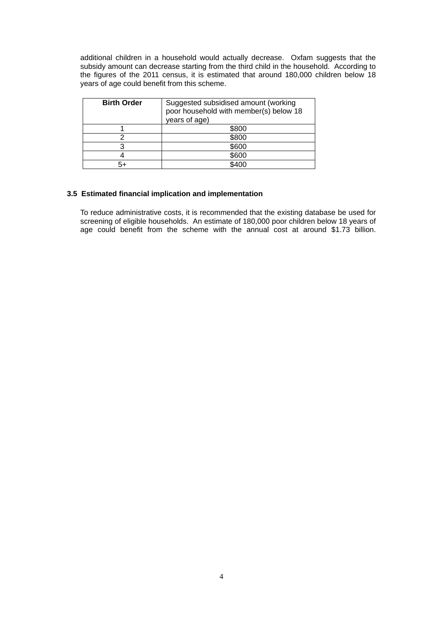additional children in a household would actually decrease. Oxfam suggests that the subsidy amount can decrease starting from the third child in the household. According to the figures of the 2011 census, it is estimated that around 180,000 children below 18 years of age could benefit from this scheme.

| <b>Birth Order</b> | Suggested subsidised amount (working<br>poor household with member(s) below 18<br>years of age) |
|--------------------|-------------------------------------------------------------------------------------------------|
|                    | \$800                                                                                           |
|                    | \$800                                                                                           |
| ົ                  | \$600                                                                                           |
|                    | \$600                                                                                           |
|                    | \$400                                                                                           |

## **3.5 Estimated financial implication and implementation**

To reduce administrative costs, it is recommended that the existing database be used for screening of eligible households. An estimate of 180,000 poor children below 18 years of age could benefit from the scheme with the annual cost at around \$1.73 billion.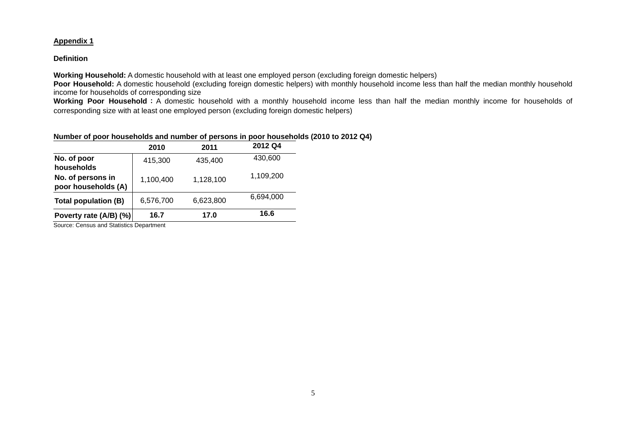## **Appendix 1**

## **Definition**

**Working Household:** A domestic household with at least one employed person (excluding foreign domestic helpers)

**Poor Household:** A domestic household (excluding foreign domestic helpers) with monthly household income less than half the median monthly household income for households of corresponding size

Working Poor Household: A domestic household with a monthly household income less than half the median monthly income for households of corresponding size with at least one employed person (excluding foreign domestic helpers)

## **Number of poor households and number of persons in poor households (2010 to 2012 Q4)**

|                                                                            | 2010      | 2011      | 2012 Q4   |  |
|----------------------------------------------------------------------------|-----------|-----------|-----------|--|
| No. of poor<br>households                                                  | 415,300   | 435,400   | 430,600   |  |
| No. of persons in<br>poor households (A)                                   | 1,100,400 | 1,128,100 | 1,109,200 |  |
| Total population (B)                                                       | 6,576,700 | 6,623,800 | 6,694,000 |  |
|                                                                            | 16.7      | 17.0      | 16.6      |  |
| Poverty rate (A/B) (%)<br>$\sim$ $\sim$ $\sim$ $\sim$ $\sim$ $\sim$ $\sim$ |           |           |           |  |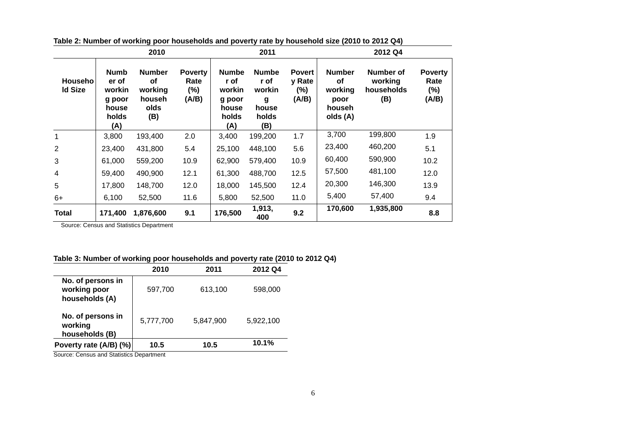| 2010                             |                                                                   |                                                         |                                        | 2011                                                              |                                                              |                                         | 2012 Q4                                                      |                                           |                                        |
|----------------------------------|-------------------------------------------------------------------|---------------------------------------------------------|----------------------------------------|-------------------------------------------------------------------|--------------------------------------------------------------|-----------------------------------------|--------------------------------------------------------------|-------------------------------------------|----------------------------------------|
| <b>Househo</b><br><b>Id Size</b> | <b>Numb</b><br>er of<br>workin<br>g poor<br>house<br>holds<br>(A) | <b>Number</b><br>οf<br>working<br>househ<br>olds<br>(B) | <b>Poverty</b><br>Rate<br>(%)<br>(A/B) | <b>Numbe</b><br>r of<br>workin<br>g poor<br>house<br>holds<br>(A) | <b>Numbe</b><br>r of<br>workin<br>g<br>house<br>holds<br>(B) | <b>Povert</b><br>y Rate<br>(%)<br>(A/B) | <b>Number</b><br>οf<br>working<br>poor<br>househ<br>olds (A) | Number of<br>working<br>households<br>(B) | <b>Poverty</b><br>Rate<br>(%)<br>(A/B) |
| 1                                | 3,800                                                             | 193,400                                                 | 2.0                                    | 3,400                                                             | 199,200                                                      | 1.7                                     | 3,700                                                        | 199,800                                   | 1.9                                    |
| 2                                | 23,400                                                            | 431,800                                                 | 5.4                                    | 25,100                                                            | 448,100                                                      | 5.6                                     | 23,400                                                       | 460,200                                   | 5.1                                    |
| 3                                | 61,000                                                            | 559,200                                                 | 10.9                                   | 62,900                                                            | 579,400                                                      | 10.9                                    | 60,400                                                       | 590,900                                   | 10.2                                   |
| 4                                | 59,400                                                            | 490,900                                                 | 12.1                                   | 61,300                                                            | 488,700                                                      | 12.5                                    | 57,500                                                       | 481,100                                   | 12.0                                   |
| 5                                | 17,800                                                            | 148,700                                                 | 12.0                                   | 18,000                                                            | 145,500                                                      | 12.4                                    | 20,300                                                       | 146,300                                   | 13.9                                   |
| $6+$                             | 6,100                                                             | 52,500                                                  | 11.6                                   | 5,800                                                             | 52,500                                                       | 11.0                                    | 5,400                                                        | 57,400                                    | 9.4                                    |
| <b>Total</b>                     | 171,400                                                           | 1,876,600                                               | 9.1                                    | 176,500                                                           | 1,913,<br>400                                                | 9.2                                     | 170,600                                                      | 1,935,800                                 | 8.8                                    |

**Table 2: Number of working poor households and poverty rate by household size (2010 to 2012 Q4)**

## **Table 3: Number of working poor households and poverty rate (2010 to 2012 Q4)**

|                                                     | 2010      | 2011      | 2012 Q4   |
|-----------------------------------------------------|-----------|-----------|-----------|
| No. of persons in<br>working poor<br>households (A) | 597,700   | 613,100   | 598,000   |
| No. of persons in<br>working<br>households (B)      | 5,777,700 | 5,847,900 | 5,922,100 |
| Poverty rate (A/B) (%)                              | 10.5      | 10.5      | 10.1%     |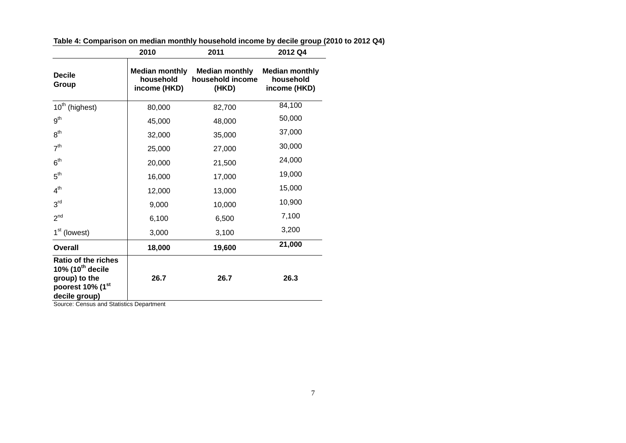| Table 4: Comparison on median monthly household income by decile group (2010 to 2012 Q4) |  |
|------------------------------------------------------------------------------------------|--|
|                                                                                          |  |

|                                                                                                                       | 2010                                               | 2011                                               | 2012 Q4                                            |
|-----------------------------------------------------------------------------------------------------------------------|----------------------------------------------------|----------------------------------------------------|----------------------------------------------------|
| <b>Decile</b><br>Group                                                                                                | <b>Median monthly</b><br>household<br>income (HKD) | <b>Median monthly</b><br>household income<br>(HKD) | <b>Median monthly</b><br>household<br>income (HKD) |
| 10 <sup>th</sup> (highest)                                                                                            | 80,000                                             | 82,700                                             | 84,100                                             |
| 9 <sup>th</sup>                                                                                                       | 45,000                                             | 48,000                                             | 50,000                                             |
| 8 <sup>th</sup>                                                                                                       | 32,000                                             | 35,000                                             | 37,000                                             |
| 7 <sup>th</sup>                                                                                                       | 25,000                                             | 27,000                                             | 30,000                                             |
| 6 <sup>th</sup>                                                                                                       | 20,000                                             | 21,500                                             | 24,000                                             |
| 5 <sup>th</sup>                                                                                                       | 16,000                                             | 17,000                                             | 19,000                                             |
| 4 <sup>th</sup>                                                                                                       | 12,000                                             | 13,000                                             | 15,000                                             |
| 3 <sup>rd</sup>                                                                                                       | 9,000                                              | 10,000                                             | 10,900                                             |
| 2 <sup>nd</sup>                                                                                                       | 6,100                                              | 6,500                                              | 7,100                                              |
| $1st$ (lowest)                                                                                                        | 3,000                                              | 3,100                                              | 3,200                                              |
| Overall                                                                                                               | 18,000                                             | 19,600                                             | 21,000                                             |
| <b>Ratio of the riches</b><br>10% $(10^{th}$ decile<br>group) to the<br>poorest 10% (1 <sup>st</sup><br>decile group) | 26.7                                               | 26.7                                               | 26.3                                               |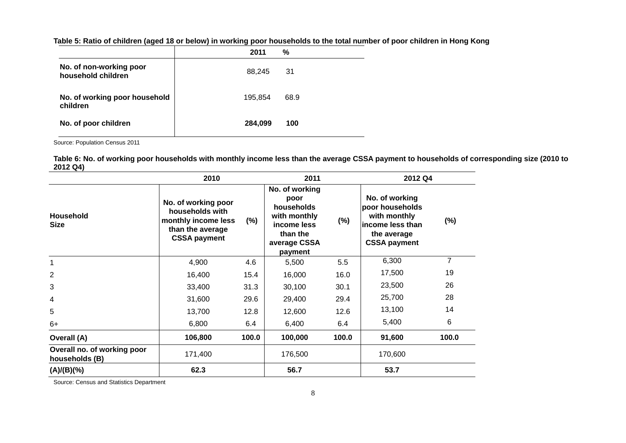|                                               | 2011    | %    |  |
|-----------------------------------------------|---------|------|--|
| No. of non-working poor<br>household children | 88,245  | -31  |  |
| No. of working poor household<br>children     | 195.854 | 68.9 |  |
| No. of poor children                          | 284,099 | 100  |  |

**Table 5: Ratio of children (aged 18 or below) in working poor households to the total number of poor children in Hong Kong**

Source: Population Census 2011

**Table 6: No. of working poor households with monthly income less than the average CSSA payment to households of corresponding size (2010 to 2012 Q4)**

|                                               | 2010                                                                                                     | 2011   |                                                                                                            | 2012 Q4 |                                                                                                              |        |
|-----------------------------------------------|----------------------------------------------------------------------------------------------------------|--------|------------------------------------------------------------------------------------------------------------|---------|--------------------------------------------------------------------------------------------------------------|--------|
| <b>Household</b><br><b>Size</b>               | No. of working poor<br>households with<br>monthly income less<br>than the average<br><b>CSSA payment</b> | $(\%)$ | No. of working<br>poor<br>households<br>with monthly<br>income less<br>than the<br>average CSSA<br>payment | $(\%)$  | No. of working<br>poor households<br>with monthly<br>lincome less than<br>the average<br><b>CSSA payment</b> | $(\%)$ |
| $\mathbf{1}$                                  | 4,900                                                                                                    | 4.6    | 5,500                                                                                                      | 5.5     | 6,300                                                                                                        | 7      |
| 2                                             | 16,400                                                                                                   | 15.4   | 16,000                                                                                                     | 16.0    | 17,500                                                                                                       | 19     |
| 3                                             | 33,400                                                                                                   | 31.3   | 30,100                                                                                                     | 30.1    | 23,500                                                                                                       | 26     |
| 4                                             | 31,600                                                                                                   | 29.6   | 29,400                                                                                                     | 29.4    | 25,700                                                                                                       | 28     |
| 5                                             | 13,700                                                                                                   | 12.8   | 12,600                                                                                                     | 12.6    | 13,100                                                                                                       | 14     |
| $6+$                                          | 6,800                                                                                                    | 6.4    | 6,400                                                                                                      | 6.4     | 5,400                                                                                                        | 6      |
| Overall (A)                                   | 106,800                                                                                                  | 100.0  | 100,000                                                                                                    | 100.0   | 91,600                                                                                                       | 100.0  |
| Overall no. of working poor<br>households (B) | 171,400                                                                                                  |        | 176,500                                                                                                    |         | 170,600                                                                                                      |        |
| (A)/(B)(%)                                    | 62.3                                                                                                     |        | 56.7                                                                                                       |         | 53.7                                                                                                         |        |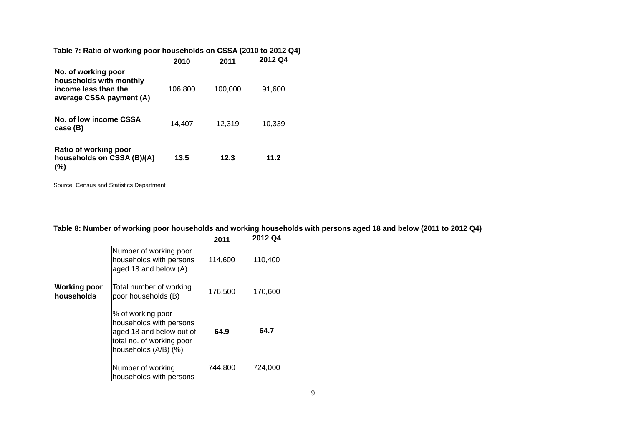| Table 7: Ratio of working poor households on CSSA (2010 to 2012 Q4) |
|---------------------------------------------------------------------|
|---------------------------------------------------------------------|

|                                                                                                    | 2010    | 2011    | 2012 Q4 |
|----------------------------------------------------------------------------------------------------|---------|---------|---------|
| No. of working poor<br>households with monthly<br>income less than the<br>average CSSA payment (A) | 106,800 | 100,000 | 91,600  |
| No. of low income CSSA<br>case (B)                                                                 | 14,407  | 12,319  | 10,339  |
| Ratio of working poor<br>households on CSSA (B)/(A)<br>$(\% )$                                     | 13.5    | 12.3    | 11.2    |

|  |  |  |  |  |  |  |  | Table 8: Number of working poor households and working households with persons aged 18 and below (2011 to 2012 Q4) |  |  |  |  |  |
|--|--|--|--|--|--|--|--|--------------------------------------------------------------------------------------------------------------------|--|--|--|--|--|
|--|--|--|--|--|--|--|--|--------------------------------------------------------------------------------------------------------------------|--|--|--|--|--|

|                                   |                                                                                                                               | 2011    | 2012 Q4 |
|-----------------------------------|-------------------------------------------------------------------------------------------------------------------------------|---------|---------|
|                                   | Number of working poor<br>households with persons<br>aged 18 and below (A)                                                    | 114,600 | 110,400 |
| <b>Working poor</b><br>households | Total number of working<br>poor households (B)                                                                                | 176,500 | 170,600 |
|                                   | % of working poor<br>households with persons<br>aged 18 and below out of<br>total no. of working poor<br>households (A/B) (%) | 64.9    | 64.7    |
|                                   | Number of working<br>households with persons                                                                                  | 744,800 | 724.000 |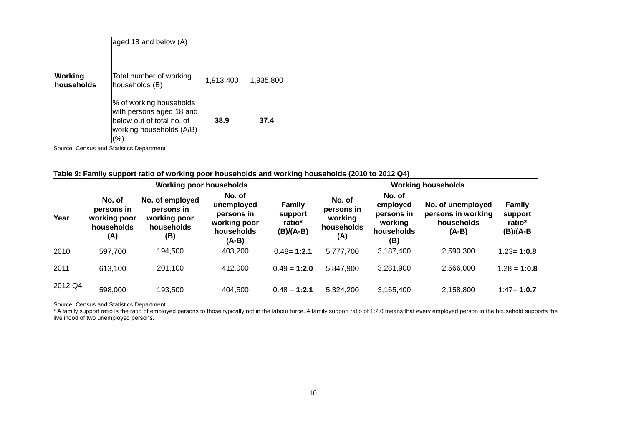|                       | % of working households<br>with persons aged 18 and<br>below out of total no. of<br>working households (A/B)<br>(% | 38.9      | 37.4      |  |
|-----------------------|--------------------------------------------------------------------------------------------------------------------|-----------|-----------|--|
| Working<br>households | Total number of working<br>households (B)                                                                          | 1,913,400 | 1,935,800 |  |
|                       | aged 18 and below (A)                                                                                              |           |           |  |

| Table 9: Family support ratio of working poor households and working households (2010 to 2012 Q4) |
|---------------------------------------------------------------------------------------------------|
|---------------------------------------------------------------------------------------------------|

| <b>Working poor households</b> |                                                           |                                                                    |                                                                             | <b>Working households</b>                       |                                                      |                                                                  |                                                                  |                                                   |
|--------------------------------|-----------------------------------------------------------|--------------------------------------------------------------------|-----------------------------------------------------------------------------|-------------------------------------------------|------------------------------------------------------|------------------------------------------------------------------|------------------------------------------------------------------|---------------------------------------------------|
| Year                           | No. of<br>persons in<br>working poor<br>households<br>(A) | No. of employed<br>persons in<br>working poor<br>households<br>(B) | No. of<br>unemployed<br>persons in<br>working poor<br>households<br>$(A-B)$ | <b>Family</b><br>support<br>ratio*<br>(B)/(A-B) | No. of<br>persons in<br>working<br>households<br>(A) | No. of<br>employed<br>persons in<br>working<br>households<br>(B) | No. of unemployed<br>persons in working<br>households<br>$(A-B)$ | <b>Family</b><br>support<br>ratio*<br>$(B)/(A-B)$ |
| 2010                           | 597,700                                                   | 194,500                                                            | 403,200                                                                     | $0.48 = 1:2.1$                                  | 5,777,700                                            | 3,187,400                                                        | 2,590,300                                                        | $1.23 = 1:0.8$                                    |
| 2011                           | 613,100                                                   | 201,100                                                            | 412,000                                                                     | $0.49 = 1:2.0$                                  | 5,847,900                                            | 3,281,900                                                        | 2,566,000                                                        | $1.28 = 1:0.8$                                    |
| 2012 Q4                        | 598,000                                                   | 193,500                                                            | 404,500                                                                     | $0.48 = 1:2.1$                                  | 5,324,200                                            | 3,165,400                                                        | 2,158,800                                                        | $1:47 = 1:0.7$                                    |

Source: Census and Statistics Department

\* A family support ratio is the ratio of employed persons to those typically not in the labour force. A family support ratio of 1:2.0 means that every employed person in the household supports the livelihood of two unemployed persons.